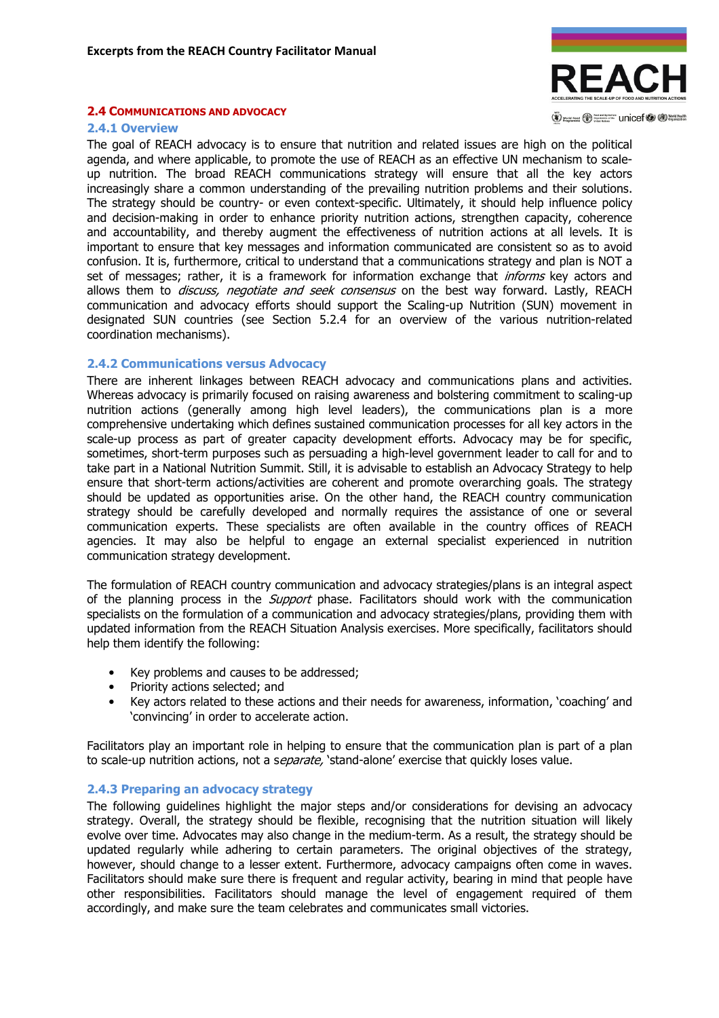

#### 2.4 COMMUNICATIONS AND ADVOCACY

#### 2.4.1 Overview

The goal of REACH advocacy is to ensure that nutrition and related issues are high on the political agenda, and where applicable, to promote the use of REACH as an effective UN mechanism to scaleup nutrition. The broad REACH communications strategy will ensure that all the key actors increasingly share a common understanding of the prevailing nutrition problems and their solutions. The strategy should be country- or even context-specific. Ultimately, it should help influence policy and decision-making in order to enhance priority nutrition actions, strengthen capacity, coherence and accountability, and thereby augment the effectiveness of nutrition actions at all levels. It is important to ensure that key messages and information communicated are consistent so as to avoid confusion. It is, furthermore, critical to understand that a communications strategy and plan is NOT a set of messages; rather, it is a framework for information exchange that *informs* key actors and allows them to *discuss, negotiate and seek consensus* on the best way forward. Lastly, REACH communication and advocacy efforts should support the Scaling-up Nutrition (SUN) movement in designated SUN countries (see Section 5.2.4 for an overview of the various nutrition-related coordination mechanisms).

## 2.4.2 Communications versus Advocacy

There are inherent linkages between REACH advocacy and communications plans and activities. Whereas advocacy is primarily focused on raising awareness and bolstering commitment to scaling-up nutrition actions (generally among high level leaders), the communications plan is a more comprehensive undertaking which defines sustained communication processes for all key actors in the scale-up process as part of greater capacity development efforts. Advocacy may be for specific, sometimes, short-term purposes such as persuading a high-level government leader to call for and to take part in a National Nutrition Summit. Still, it is advisable to establish an Advocacy Strategy to help ensure that short-term actions/activities are coherent and promote overarching goals. The strategy should be updated as opportunities arise. On the other hand, the REACH country communication strategy should be carefully developed and normally requires the assistance of one or several communication experts. These specialists are often available in the country offices of REACH agencies. It may also be helpful to engage an external specialist experienced in nutrition communication strategy development.

The formulation of REACH country communication and advocacy strategies/plans is an integral aspect of the planning process in the *Support* phase. Facilitators should work with the communication specialists on the formulation of a communication and advocacy strategies/plans, providing them with updated information from the REACH Situation Analysis exercises. More specifically, facilitators should help them identify the following:

- Key problems and causes to be addressed;
- Priority actions selected; and
- Key actors related to these actions and their needs for awareness, information, 'coaching' and 'convincing' in order to accelerate action.

Facilitators play an important role in helping to ensure that the communication plan is part of a plan to scale-up nutrition actions, not a separate, 'stand-alone' exercise that quickly loses value.

## 2.4.3 Preparing an advocacy strategy

The following guidelines highlight the major steps and/or considerations for devising an advocacy strategy. Overall, the strategy should be flexible, recognising that the nutrition situation will likely evolve over time. Advocates may also change in the medium-term. As a result, the strategy should be updated regularly while adhering to certain parameters. The original objectives of the strategy, however, should change to a lesser extent. Furthermore, advocacy campaigns often come in waves. Facilitators should make sure there is frequent and regular activity, bearing in mind that people have other responsibilities. Facilitators should manage the level of engagement required of them accordingly, and make sure the team celebrates and communicates small victories.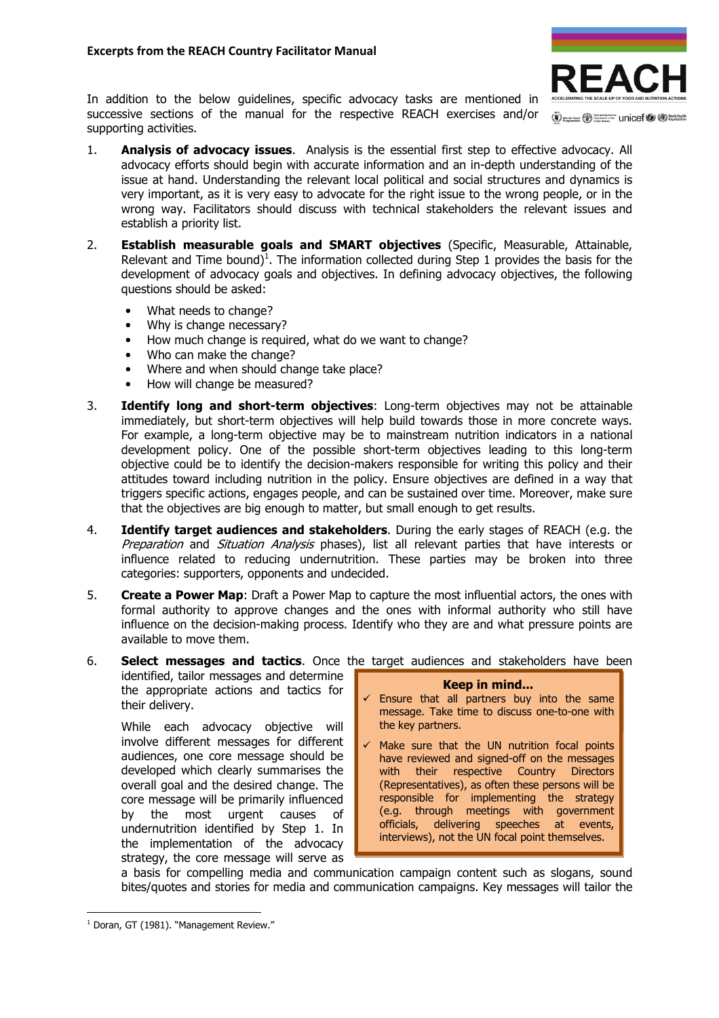

In addition to the below guidelines, specific advocacy tasks are mentioned in successive sections of the manual for the respective REACH exercises and/or supporting activities.

- 1. **Analysis of advocacy issues**. Analysis is the essential first step to effective advocacy. All advocacy efforts should begin with accurate information and an in-depth understanding of the issue at hand. Understanding the relevant local political and social structures and dynamics is very important, as it is very easy to advocate for the right issue to the wrong people, or in the wrong way. Facilitators should discuss with technical stakeholders the relevant issues and establish a priority list.
- 2. **Establish measurable goals and SMART objectives** (Specific, Measurable, Attainable, Relevant and Time bound)<sup>1</sup>. The information collected during Step 1 provides the basis for the development of advocacy goals and objectives. In defining advocacy objectives, the following questions should be asked:
	- What needs to change?
	- Why is change necessary?
	- How much change is required, what do we want to change?
	- Who can make the change?
	- Where and when should change take place?
	- How will change be measured?
- 3. **Identify long and short-term objectives**: Long-term objectives may not be attainable immediately, but short-term objectives will help build towards those in more concrete ways. For example, a long-term objective may be to mainstream nutrition indicators in a national development policy. One of the possible short-term objectives leading to this long-term objective could be to identify the decision-makers responsible for writing this policy and their attitudes toward including nutrition in the policy. Ensure objectives are defined in a way that triggers specific actions, engages people, and can be sustained over time. Moreover, make sure that the objectives are big enough to matter, but small enough to get results.
- 4. **Identify target audiences and stakeholders**. During the early stages of REACH (e.g. the Preparation and Situation Analysis phases), list all relevant parties that have interests or influence related to reducing undernutrition. These parties may be broken into three categories: supporters, opponents and undecided.
- 5. Create a Power Map: Draft a Power Map to capture the most influential actors, the ones with formal authority to approve changes and the ones with informal authority who still have influence on the decision-making process. Identify who they are and what pressure points are available to move them.

## 6. Select messages and tactics. Once the target audiences and stakeholders have been identified, tailor messages and determine

the appropriate actions and tactics for their delivery. While each advocacy objective will involve different messages for different audiences, one core message should be developed which clearly summarises the overall goal and the desired change. The core message will be primarily influenced by the most urgent causes of undernutrition identified by Step 1. In the implementation of the advocacy strategy, the core message will serve as Keep in mind...  $\checkmark$  Ensure that all partners buy into the same message. Take time to discuss one-to-one with the key partners.  $\checkmark$  Make sure that the UN nutrition focal points have reviewed and signed-off on the messages with their respective Country Directors (Representatives), as often these persons will be responsible for implementing the strategy (e.g. through meetings with government officials, delivering speeches at events, interviews), not the UN focal point themselves.

a basis for compelling media and communication campaign content such as slogans, sound bites/quotes and stories for media and communication campaigns. Key messages will tailor the

 $\overline{a}$ 

<sup>&</sup>lt;sup>1</sup> Doran, GT (1981). "Management Review."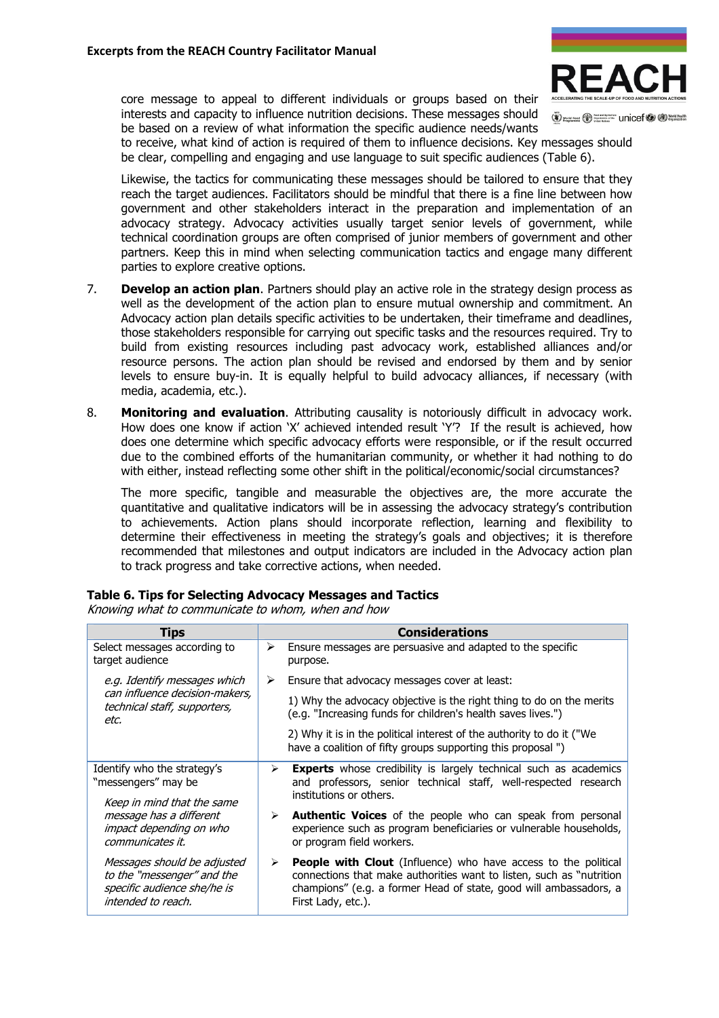core message to appeal to different individuals or groups based on their interests and capacity to influence nutrition decisions. These messages should be based on a review of what information the specific audience needs/wants



(V) works root (V) Significant Unicef (V (D) North Health

to receive, what kind of action is required of them to influence decisions. Key messages should be clear, compelling and engaging and use language to suit specific audiences (Table 6).

Likewise, the tactics for communicating these messages should be tailored to ensure that they reach the target audiences. Facilitators should be mindful that there is a fine line between how government and other stakeholders interact in the preparation and implementation of an advocacy strategy. Advocacy activities usually target senior levels of government, while technical coordination groups are often comprised of junior members of government and other partners. Keep this in mind when selecting communication tactics and engage many different parties to explore creative options.

- 7. **Develop an action plan**. Partners should play an active role in the strategy design process as well as the development of the action plan to ensure mutual ownership and commitment. An Advocacy action plan details specific activities to be undertaken, their timeframe and deadlines, those stakeholders responsible for carrying out specific tasks and the resources required. Try to build from existing resources including past advocacy work, established alliances and/or resource persons. The action plan should be revised and endorsed by them and by senior levels to ensure buy-in. It is equally helpful to build advocacy alliances, if necessary (with media, academia, etc.).
- 8. Monitoring and evaluation. Attributing causality is notoriously difficult in advocacy work. How does one know if action 'X' achieved intended result 'Y'? If the result is achieved, how does one determine which specific advocacy efforts were responsible, or if the result occurred due to the combined efforts of the humanitarian community, or whether it had nothing to do with either, instead reflecting some other shift in the political/economic/social circumstances?

The more specific, tangible and measurable the objectives are, the more accurate the quantitative and qualitative indicators will be in assessing the advocacy strategy's contribution to achievements. Action plans should incorporate reflection, learning and flexibility to determine their effectiveness in meeting the strategy's goals and objectives; it is therefore recommended that milestones and output indicators are included in the Advocacy action plan to track progress and take corrective actions, when needed.

| Tips                                                                                                           |                       | <b>Considerations</b>                                                                                                                                                                                                                    |
|----------------------------------------------------------------------------------------------------------------|-----------------------|------------------------------------------------------------------------------------------------------------------------------------------------------------------------------------------------------------------------------------------|
| Select messages according to<br>target audience                                                                | ≻                     | Ensure messages are persuasive and adapted to the specific<br>purpose.                                                                                                                                                                   |
| e.g. Identify messages which<br>can influence decision-makers,<br>technical staff, supporters,<br>etc.         | ➤                     | Ensure that advocacy messages cover at least:                                                                                                                                                                                            |
|                                                                                                                |                       | 1) Why the advocacy objective is the right thing to do on the merits<br>(e.g. "Increasing funds for children's health saves lives.")                                                                                                     |
|                                                                                                                |                       | 2) Why it is in the political interest of the authority to do it ("We<br>have a coalition of fifty groups supporting this proposal ")                                                                                                    |
| Identify who the strategy's<br>"messengers" may be                                                             | ➤                     | <b>Experts</b> whose credibility is largely technical such as academics<br>and professors, senior technical staff, well-respected research                                                                                               |
| Keep in mind that the same<br>message has a different<br>impact depending on who<br>communicates it.           |                       | institutions or others.                                                                                                                                                                                                                  |
|                                                                                                                | ➤                     | <b>Authentic Voices</b> of the people who can speak from personal<br>experience such as program beneficiaries or vulnerable households,<br>or program field workers.                                                                     |
| Messages should be adjusted<br>to the "messenger" and the<br>specific audience she/he is<br>intended to reach. | $\blacktriangleright$ | <b>People with Clout</b> (Influence) who have access to the political<br>connections that make authorities want to listen, such as "nutrition<br>champions" (e.g. a former Head of state, good will ambassadors, a<br>First Lady, etc.). |

Table 6. Tips for Selecting Advocacy Messages and Tactics

Knowing what to communicate to whom, when and how